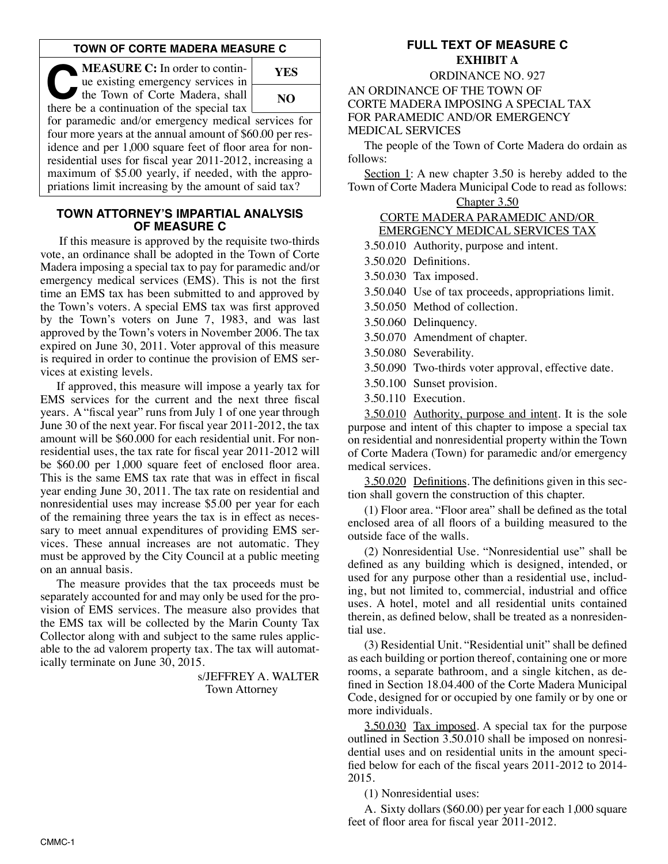#### **TOWN OF CORTE MADERA MEASURE C**

**C:** In order to continue existing emergency services in the Town of Corte Madera, shall there be a continuation of the special tax ue existing emergency services in there be a continuation of the special tax



for paramedic and/or emergency medical services for four more years at the annual amount of \$60.00 per residence and per 1,000 square feet of floor area for nonresidential uses for fiscal year 2011-2012, increasing a maximum of \$5.00 yearly, if needed, with the appropriations limit increasing by the amount of said tax?

#### **TOWN ATTORNEY'S IMPARTIAL ANALYSIS OF MEASURE C**

If this measure is approved by the requisite two-thirds vote, an ordinance shall be adopted in the Town of Corte Madera imposing a special tax to pay for paramedic and/or emergency medical services (EMS). This is not the first time an EMS tax has been submitted to and approved by the Town's voters. A special EMS tax was first approved by the Town's voters on June 7, 1983, and was last approved by the Town's voters in November 2006. The tax expired on June 30, 2011. Voter approval of this measure is required in order to continue the provision of EMS services at existing levels.

If approved, this measure will impose a yearly tax for EMS services for the current and the next three fiscal years. A "fiscal year" runs from July 1 of one year through June 30 of the next year. For fiscal year 2011-2012, the tax amount will be \$60.000 for each residential unit. For nonresidential uses, the tax rate for fiscal year 2011-2012 will be \$60.00 per 1,000 square feet of enclosed floor area. This is the same EMS tax rate that was in effect in fiscal year ending June 30, 2011. The tax rate on residential and nonresidential uses may increase \$5.00 per year for each of the remaining three years the tax is in effect as necessary to meet annual expenditures of providing EMS services. These annual increases are not automatic. They must be approved by the City Council at a public meeting on an annual basis.

The measure provides that the tax proceeds must be separately accounted for and may only be used for the provision of EMS services. The measure also provides that the EMS tax will be collected by the Marin County Tax Collector along with and subject to the same rules applicable to the ad valorem property tax. The tax will automatically terminate on June 30, 2015.

> s/JEFFREY A. WALTER Town Attorney

# **FULL TEXT OF MEASURE C EXHIBIT A**

ORDINANCE NO. 927

AN ORDINANCE OF THE TOWN OF CORTE MADERA IMPOSING A SPECIAL TAX FOR PARAMEDIC AND/OR EMERGENCY MEDICAL SERVICES

The people of the Town of Corte Madera do ordain as follows:

Section 1: A new chapter 3.50 is hereby added to the Town of Corte Madera Municipal Code to read as follows:

# Chapter 3.50 CORTE MADERA PARAMEDIC AND/OR EMERGENCY MEDICAL SERVICES TAX

3.50.010 Authority, purpose and intent.

3.50.020 Definitions.

3.50.030 Tax imposed.

3.50.040 Use of tax proceeds, appropriations limit.

3.50.050 Method of collection.

3.50.060 Delinquency.

3.50.070 Amendment of chapter.

3.50.080 Severability.

3.50.090 Two-thirds voter approval, effective date.

3.50.100 Sunset provision.

3.50.110 Execution.

3.50.010 Authority, purpose and intent. It is the sole purpose and intent of this chapter to impose a special tax on residential and nonresidential property within the Town of Corte Madera (Town) for paramedic and/or emergency medical services.

3.50.020 Definitions. The definitions given in this section shall govern the construction of this chapter.

(1) Floor area. "Floor area" shall be defined as the total enclosed area of all floors of a building measured to the outside face of the walls.

(2) Nonresidential Use. "Nonresidential use" shall be defined as any building which is designed, intended, or used for any purpose other than a residential use, including, but not limited to, commercial, industrial and office uses. A hotel, motel and all residential units contained therein, as defined below, shall be treated as a nonresidential use.

(3) Residential Unit. "Residential unit" shall be defined as each building or portion thereof, containing one or more rooms, a separate bathroom, and a single kitchen, as defined in Section 18.04.400 of the Corte Madera Municipal Code, designed for or occupied by one family or by one or more individuals.

3.50.030 Tax imposed. A special tax for the purpose outlined in Section 3.50.010 shall be imposed on nonresidential uses and on residential units in the amount specified below for each of the fiscal years 2011-2012 to 2014- 2015.

(1) Nonresidential uses:

A. Sixty dollars (\$60.00) per year for each 1,000 square feet of floor area for fiscal year 2011-2012.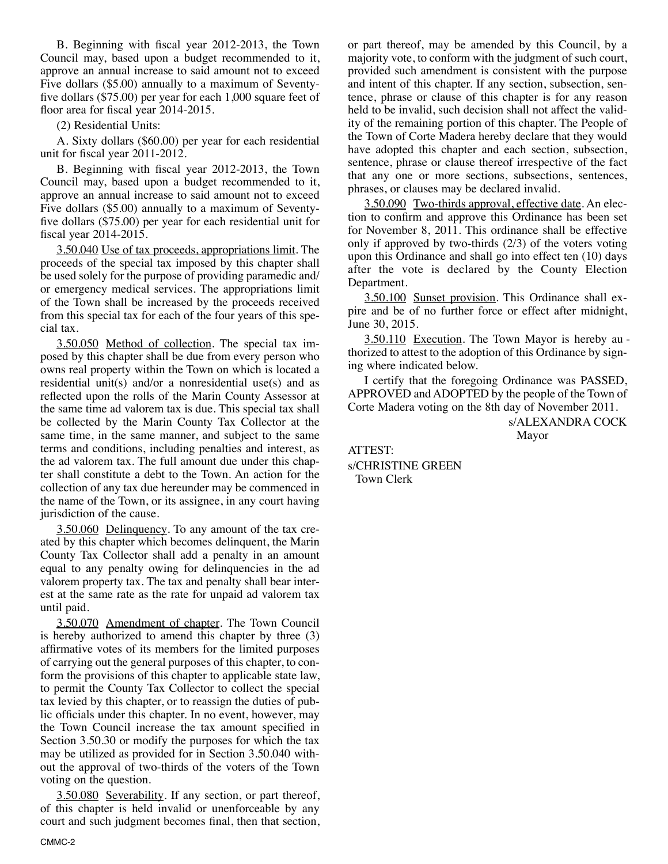B. Beginning with fiscal year 2012-2013, the Town Council may, based upon a budget recommended to it, approve an annual increase to said amount not to exceed Five dollars (\$5.00) annually to a maximum of Seventyfive dollars (\$75.00) per year for each 1,000 square feet of floor area for fiscal year 2014-2015.

(2) Residential Units:

A. Sixty dollars (\$60.00) per year for each residential unit for fiscal year 2011-2012.

B. Beginning with fiscal year 2012-2013, the Town Council may, based upon a budget recommended to it, approve an annual increase to said amount not to exceed Five dollars (\$5.00) annually to a maximum of Seventyfive dollars (\$75.00) per year for each residential unit for fiscal year 2014-2015.

3.50.040 Use of tax proceeds, appropriations limit. The proceeds of the special tax imposed by this chapter shall be used solely for the purpose of providing paramedic and/ or emergency medical services. The appropriations limit of the Town shall be increased by the proceeds received from this special tax for each of the four years of this special tax.

3.50.050 Method of collection. The special tax imposed by this chapter shall be due from every person who owns real property within the Town on which is located a residential unit(s) and/or a nonresidential use(s) and as reflected upon the rolls of the Marin County Assessor at the same time ad valorem tax is due. This special tax shall be collected by the Marin County Tax Collector at the same time, in the same manner, and subject to the same terms and conditions, including penalties and interest, as the ad valorem tax. The full amount due under this chapter shall constitute a debt to the Town. An action for the collection of any tax due hereunder may be commenced in the name of the Town, or its assignee, in any court having jurisdiction of the cause.

3.50.060 Delinquency. To any amount of the tax created by this chapter which becomes delinquent, the Marin County Tax Collector shall add a penalty in an amount equal to any penalty owing for delinquencies in the ad valorem property tax. The tax and penalty shall bear interest at the same rate as the rate for unpaid ad valorem tax until paid.

3.50.070 Amendment of chapter. The Town Council is hereby authorized to amend this chapter by three (3) affirmative votes of its members for the limited purposes of carrying out the general purposes of this chapter, to conform the provisions of this chapter to applicable state law, to permit the County Tax Collector to collect the special tax levied by this chapter, or to reassign the duties of public officials under this chapter. In no event, however, may the Town Council increase the tax amount specified in Section 3.50.30 or modify the purposes for which the tax may be utilized as provided for in Section 3.50.040 without the approval of two-thirds of the voters of the Town voting on the question.

3.50.080 Severability. If any section, or part thereof, of this chapter is held invalid or unenforceable by any court and such judgment becomes final, then that section, or part thereof, may be amended by this Council, by a majority vote, to conform with the judgment of such court, provided such amendment is consistent with the purpose and intent of this chapter. If any section, subsection, sentence, phrase or clause of this chapter is for any reason held to be invalid, such decision shall not affect the validity of the remaining portion of this chapter. The People of the Town of Corte Madera hereby declare that they would have adopted this chapter and each section, subsection, sentence, phrase or clause thereof irrespective of the fact that any one or more sections, subsections, sentences, phrases, or clauses may be declared invalid.

3.50.090 Two-thirds approval, effective date. An election to confirm and approve this Ordinance has been set for November 8, 2011. This ordinance shall be effective only if approved by two-thirds (2/3) of the voters voting upon this Ordinance and shall go into effect ten (10) days after the vote is declared by the County Election Department.

3.50.100 Sunset provision. This Ordinance shall expire and be of no further force or effect after midnight, June 30, 2015.

3.50.110 Execution. The Town Mayor is hereby au thorized to attest to the adoption of this Ordinance by signing where indicated below.

I certify that the foregoing Ordinance was PASSED, APPROVED and ADOPTED by the people of the Town of Corte Madera voting on the 8th day of November 2011.

> s/ALEXANDRA COCK Mayor

ATTEST: s/CHRISTINE GREEN Town Clerk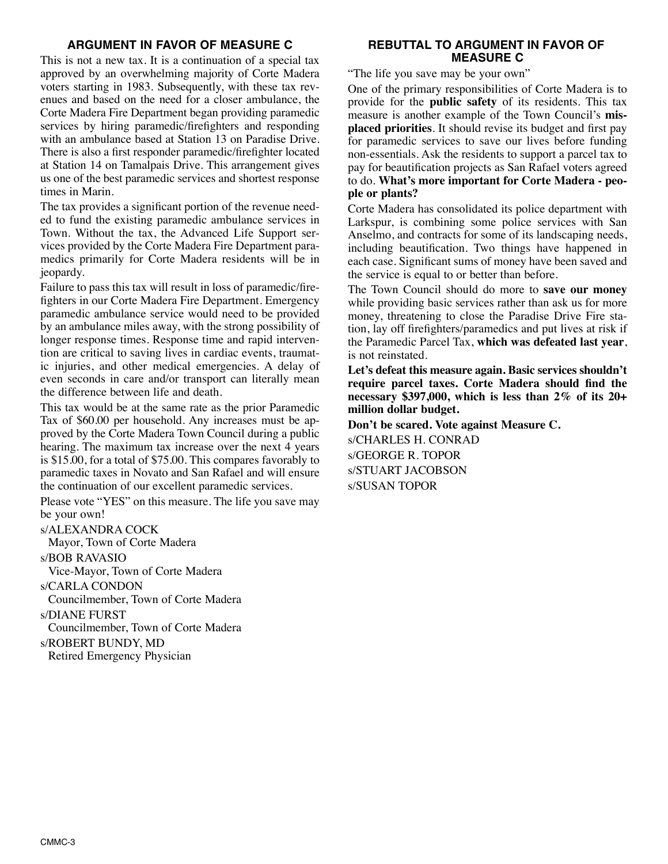# **ARGUMENT IN FAVOR OF MEASURE C**

This is not a new tax. It is a continuation of a special tax approved by an overwhelming majority of Corte Madera voters starting in 1983. Subsequently, with these tax revenues and based on the need for a closer ambulance, the Corte Madera Fire Department began providing paramedic services by hiring paramedic/firefighters and responding with an ambulance based at Station 13 on Paradise Drive. There is also a first responder paramedic/firefighter located at Station 14 on Tamalpais Drive. This arrangement gives us one of the best paramedic services and shortest response times in Marin.

The tax provides a significant portion of the revenue needed to fund the existing paramedic ambulance services in Town. Without the tax, the Advanced Life Support services provided by the Corte Madera Fire Department paramedics primarily for Corte Madera residents will be in jeopardy.

Failure to pass this tax will result in loss of paramedic/firefighters in our Corte Madera Fire Department. Emergency paramedic ambulance service would need to be provided by an ambulance miles away, with the strong possibility of longer response times. Response time and rapid intervention are critical to saving lives in cardiac events, traumatic injuries, and other medical emergencies. A delay of even seconds in care and/or transport can literally mean the difference between life and death.

This tax would be at the same rate as the prior Paramedic Tax of \$60.00 per household. Any increases must be approved by the Corte Madera Town Council during a public hearing. The maximum tax increase over the next 4 years is \$15.00, for a total of \$75.00. This compares favorably to paramedic taxes in Novato and San Rafael and will ensure the continuation of our excellent paramedic services.

Please vote "YES" on this measure. The life you save may be your own!

#### s/ALEXANDRA COCK

Mayor, Town of Corte Madera

s/BOB RAVASIO

Vice-Mayor, Town of Corte Madera

s/CARLA CONDON

Councilmember, Town of Corte Madera

s/DIANE FURST

Councilmember, Town of Corte Madera

s/ROBERT BUNDY, MD

Retired Emergency Physician

# **REBUTTAL TO ARGUMENT IN FAVOR OF MEASURE C**

"The life you save may be your own"

One of the primary responsibilities of Corte Madera is to provide for the **public safety** of its residents. This tax measure is another example of the Town Council's **misplaced priorities**. It should revise its budget and first pay for paramedic services to save our lives before funding non-essentials. Ask the residents to support a parcel tax to pay for beautification projects as San Rafael voters agreed to do. **What's more important for Corte Madera - people or plants?**

Corte Madera has consolidated its police department with Larkspur, is combining some police services with San Anselmo, and contracts for some of its landscaping needs, including beautification. Two things have happened in each case. Significant sums of money have been saved and the service is equal to or better than before.

The Town Council should do more to **save our money** while providing basic services rather than ask us for more money, threatening to close the Paradise Drive Fire station, lay off firefighters/paramedics and put lives at risk if the Paramedic Parcel Tax, **which was defeated last year**, is not reinstated.

**Let's defeat this measure again. Basic services shouldn't require parcel taxes. Corte Madera should find the necessary \$397,000, which is less than 2% of its 20+ million dollar budget.**

**Don't be scared. Vote against Measure C.** s/CHARLES H. CONRAD s/GEORGE R. TOPOR s/STUART JACOBSON s/SUSAN TOPOR